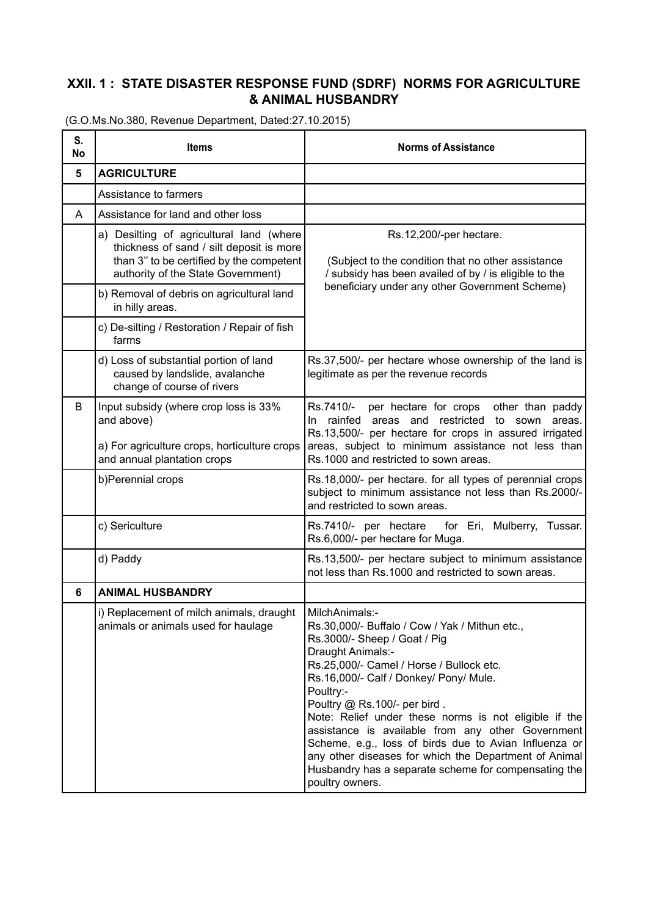## **XXII. 1 : STATE DISASTER RESPONSE FUND (SDRF) NORMS FOR AGRICULTURE & ANIMAL HUSBANDRY**

| S.<br>No | <b>Items</b>                                                                                                                                                           | <b>Norms of Assistance</b>                                                                                                                                                                                                                                                                                                                                                                                                                                                                                                                        |
|----------|------------------------------------------------------------------------------------------------------------------------------------------------------------------------|---------------------------------------------------------------------------------------------------------------------------------------------------------------------------------------------------------------------------------------------------------------------------------------------------------------------------------------------------------------------------------------------------------------------------------------------------------------------------------------------------------------------------------------------------|
| 5        | <b>AGRICULTURE</b>                                                                                                                                                     |                                                                                                                                                                                                                                                                                                                                                                                                                                                                                                                                                   |
|          | Assistance to farmers                                                                                                                                                  |                                                                                                                                                                                                                                                                                                                                                                                                                                                                                                                                                   |
| A        | Assistance for land and other loss                                                                                                                                     |                                                                                                                                                                                                                                                                                                                                                                                                                                                                                                                                                   |
|          | a) Desilting of agricultural land (where<br>thickness of sand / silt deposit is more<br>than 3" to be certified by the competent<br>authority of the State Government) | Rs.12,200/-per hectare.<br>(Subject to the condition that no other assistance<br>/ subsidy has been availed of by / is eligible to the<br>beneficiary under any other Government Scheme)                                                                                                                                                                                                                                                                                                                                                          |
|          | b) Removal of debris on agricultural land<br>in hilly areas.                                                                                                           |                                                                                                                                                                                                                                                                                                                                                                                                                                                                                                                                                   |
|          | c) De-silting / Restoration / Repair of fish<br>farms                                                                                                                  |                                                                                                                                                                                                                                                                                                                                                                                                                                                                                                                                                   |
|          | d) Loss of substantial portion of land<br>caused by landslide, avalanche<br>change of course of rivers                                                                 | Rs.37,500/- per hectare whose ownership of the land is<br>legitimate as per the revenue records                                                                                                                                                                                                                                                                                                                                                                                                                                                   |
| В        | Input subsidy (where crop loss is 33%<br>and above)<br>a) For agriculture crops, horticulture crops<br>and annual plantation crops                                     | Rs.7410/-<br>per hectare for crops other than paddy<br>In rainfed areas and restricted to sown<br>areas.<br>Rs.13,500/- per hectare for crops in assured irrigated<br>areas, subject to minimum assistance not less than<br>Rs.1000 and restricted to sown areas.                                                                                                                                                                                                                                                                                 |
|          | b)Perennial crops                                                                                                                                                      | Rs.18,000/- per hectare. for all types of perennial crops<br>subject to minimum assistance not less than Rs.2000/-<br>and restricted to sown areas.                                                                                                                                                                                                                                                                                                                                                                                               |
|          | c) Sericulture                                                                                                                                                         | Rs.7410/- per hectare for Eri, Mulberry, Tussar.<br>Rs.6,000/- per hectare for Muga.                                                                                                                                                                                                                                                                                                                                                                                                                                                              |
|          | d) Paddy                                                                                                                                                               | Rs.13,500/- per hectare subject to minimum assistance<br>not less than Rs.1000 and restricted to sown areas.                                                                                                                                                                                                                                                                                                                                                                                                                                      |
| 6        | <b>ANIMAL HUSBANDRY</b>                                                                                                                                                |                                                                                                                                                                                                                                                                                                                                                                                                                                                                                                                                                   |
|          | i) Replacement of milch animals, draught   MilchAnimals:-<br>animals or animals used for haulage                                                                       | Rs.30,000/- Buffalo / Cow / Yak / Mithun etc.,<br>Rs.3000/- Sheep / Goat / Pig<br>Draught Animals:-<br>Rs.25,000/- Camel / Horse / Bullock etc.<br>Rs.16,000/- Calf / Donkey/ Pony/ Mule.<br>Poultry:-<br>Poultry @ Rs.100/- per bird.<br>Note: Relief under these norms is not eligible if the<br>assistance is available from any other Government<br>Scheme, e.g., loss of birds due to Avian Influenza or<br>any other diseases for which the Department of Animal<br>Husbandry has a separate scheme for compensating the<br>poultry owners. |

(G.O.Ms.No.380, Revenue Department, Dated:27.10.2015)